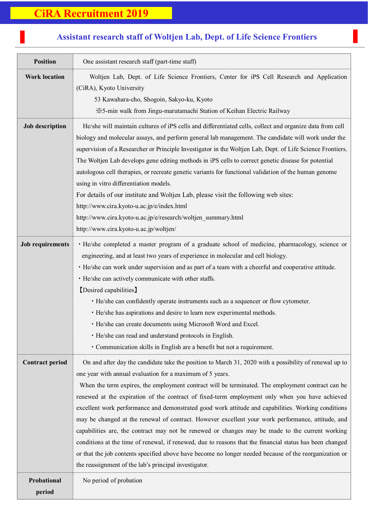## 7 **CiRA Recruitment 2019**

## **Position** One assistant research staff (part-time staff) **Work location** Woltjen Lab, Dept. of Life Science Frontiers, Center for iPS Cell Research and Application (CiRA), Kyoto University 53 Kawahara-cho, Shogoin, Sakyo-ku, Kyoto ※5-min walk from Jingu-marutamachi Station of Keihan Electric Railway **Job description** He/she will maintain cultures of iPS cells and differentiated cells, collect and organize data from cell biology and molecular assays, and perform general lab management. The candidate will work under the supervision of a Researcher or Principle Investigator in the Woltjen Lab, Dept. of Life Science Frontiers. The Woltjen Lab develops gene editing methods in iPS cells to correct genetic disease for potential autologous cell therapies, or recreate genetic variants for functional validation of the human genome using in vitro differentiation models. For details of our institute and Woltjen Lab, please visit the following web sites: <http://www.cira.kyoto-u.ac.jp/e/index.html> http://www.cira.kyoto-u.ac.jp/e/research/woltjen\_summary.html http://www.cira.kyoto-u.ac.jp/woltjen/ Job requirements • He/she completed a master program of a graduate school of medicine, pharmacology, science or engineering, and at least two years of experience in molecular and cell biology. ・He/she can work under supervision and as part of a team with a cheerful and cooperative attitude. ・He/she can actively communicate with other staffs. 【Desired capabilities】 ・He/she can confidently operate instruments such as a sequencer or flow cytometer. ・He/she has aspirations and desire to learn new experimental methods. ・He/she can create documents using Microsoft Word and Excel. ・He/she can read and understand protocols in English. ・Communication skills in English are a benefit but not a requirement. **Contract period** On and after day the candidate take the position to March 31, 2020 with a possibility of renewal up to one year with annual evaluation for a maximum of 5 years. When the term expires, the employment contract will be terminated. The employment contract can be renewed at the expiration of the contract of fixed-term employment only when you have achieved excellent work performance and demonstrated good work attitude and capabilities. Working conditions may be changed at the renewal of contract. However excellent your work performance, attitude, and capabilities are, the contract may not be renewed or changes may be made to the current working conditions at the time of renewal, if renewed, due to reasons that the financial status has been changed or that the job contents specified above have become no longer needed because of the reorganization or the reassignment of the lab's principal investigator. **Probational period** No period of probation

## **Assistant research staff of Woltjen Lab, Dept. of Life Science Frontiers**